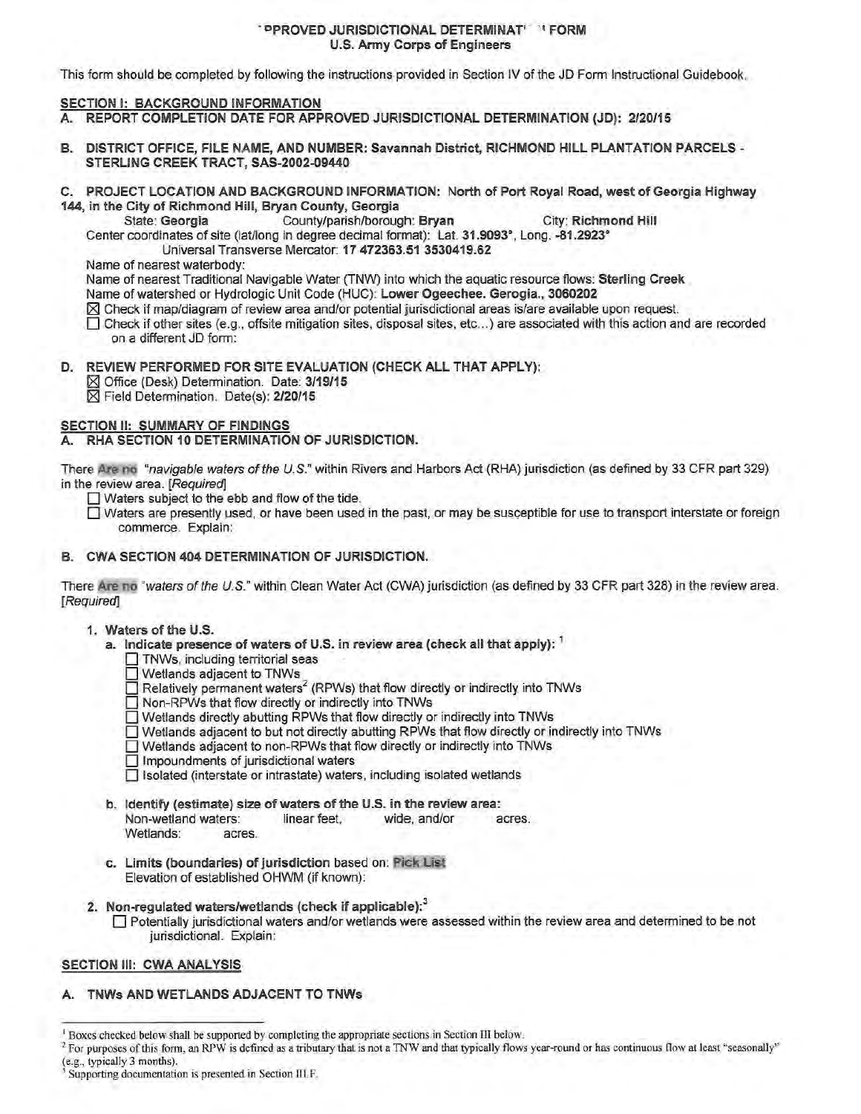### **PPROVED JURISDICTIONAL DETERMINAT' IFORM** U.S. Anny Corps of Engineers

This form should be completed by following the instructions provided in Section IV of the JD Form Instructional Guidebook.

## SECTION I: BACKGROUND INFORMATION

- A. REPORT COMPLETION DATE FOR APPROVED JURISDICTIONAL DETERMINATION (JD): 2/20/15
- B. DISTRICT OFFICE, FILE NAME, AND NUMBER: Savannah District, RICHMOND HILL PLANTATION PARCELS -STERLING CREEK TRACT, SAS-2002-09440
- C. PROJECT LOCATION AND BACKGROUND INFORMATION: North of Port Royal Road, west of Georgia Highway 144, in the City of Richmond Hill, Bryan County, Georgia
	- State: Georgia County/parish/borough: Bryan City: Richmond Hill Center coordinates of site (lat/long in degree decimal fomnat): Lat. 31.9093°, Long. -81.2923°

Universal Transverse Mercator: 17 472363.51 3530419.62

Name of nearest waterbody:

Name of nearest Traditional Navigable Water (TNW) into which the aquatic resource flows: Sterling Creek

- Name of watershed or Hydrologic Unit Code (HUC): Lower Ogeechee. Gerogia., 3060202
- [83 Check if map/diagram of review area and/or potential jurisdictional areas is/are available upon request.
- $\Box$  Check if other sites (e.g., offsite mitigation sites, disposal sites, etc...) are associated with this action and are recorded on a different JD form:
- D. REVIEW PERFORMED FOR SITE EVALUATION (CHECK ALL THAT APPLY):
	- [83 Office (Desk) Determination. Date: 3/19/15
	- [83 Field Determination. Date(s): 2/20/15

# SECTION II: SUMMARY OF FINDINGS

## A. RHA SECTION 10 DETERMINATION OF JURISDICTION.

There Are no "navigable waters ofthe U.S." within Rivers and Harbors Act (RHA) jurisdiction (as defined by 33 CFR part 329) in the review area. [Required]

 $\Box$  Waters subject to the ebb and flow of the tide.

- $\Box$  Waters are presently used, or have been used in the past, or may be susceptible for use to transport interstate or foreign commerce. Explain:
- B. CWA SECTION 404 DETERMINATION OF JURISDICTION.

There Are no "waters of the U.S." within Clean Water Act (CWA) jurisdiction (as defined by 33 CFR part 328) in the review area. [Required]

### 1. Waters of the U.S.

- a. Indicate presence of waters of U.S. in review area (check all that apply):  $<sup>1</sup>$ </sup>
	- $\Box$  TNWs, including territorial seas
	- $\Box$  Wetlands adjacent to TNWs
	- Relatively permanent waters<sup>2</sup> (RPWs) that flow directly or indirectly into TNWs
	- $\Box$  Non-RPWs that flow directly or indirectly into TNWs
	- $\Box$  Wetlands directly abutting RPWs that flow directly or indirectly into TNWs
	- $\Box$  Wetlands adjacent to but not directly abutting RPWs that flow directly or indirectly into TNWs
	- $\Box$  Wetlands adjacent to non-RPWs that flow directly or indirectly into TNWs
	- $\Box$  Impoundments of jurisdictional waters
	- $\Box$  Isolated (interstate or intrastate) waters, including isolated wetlands
- b. Identify (estimate) size of waters of the U.S. in the review area: Non-wetland waters: linear feet, wide, and/or acres. Wetlands: acres.
- c. Limits (boundaries) of jurisdiction based on: Pick List Elevation of established OHWM (if known):
- 2. Non-regulated waters/wetlands (check if applicable): $3$ 
	- O Potentially jurisdictional waters and/or wetlands were assessed within the review area and determined to be not jurisdictional. Explain:

# SECTION III: CWA ANALYSIS

A. TNWs AND WETLANDS ADJACENT TO TNWs

<sup>1</sup> Boxes checked below shall be supported by completing the appropriate sections in Section III below.

<sup>&</sup>lt;sup>2</sup> For purposes of this form, an RPW is defined as a tributary that is not a TNW and that typically flows year-round or has continuous flow at least "seasonally" (e.g., typically 3 months).

Supporting documentation is presented in Section III.F.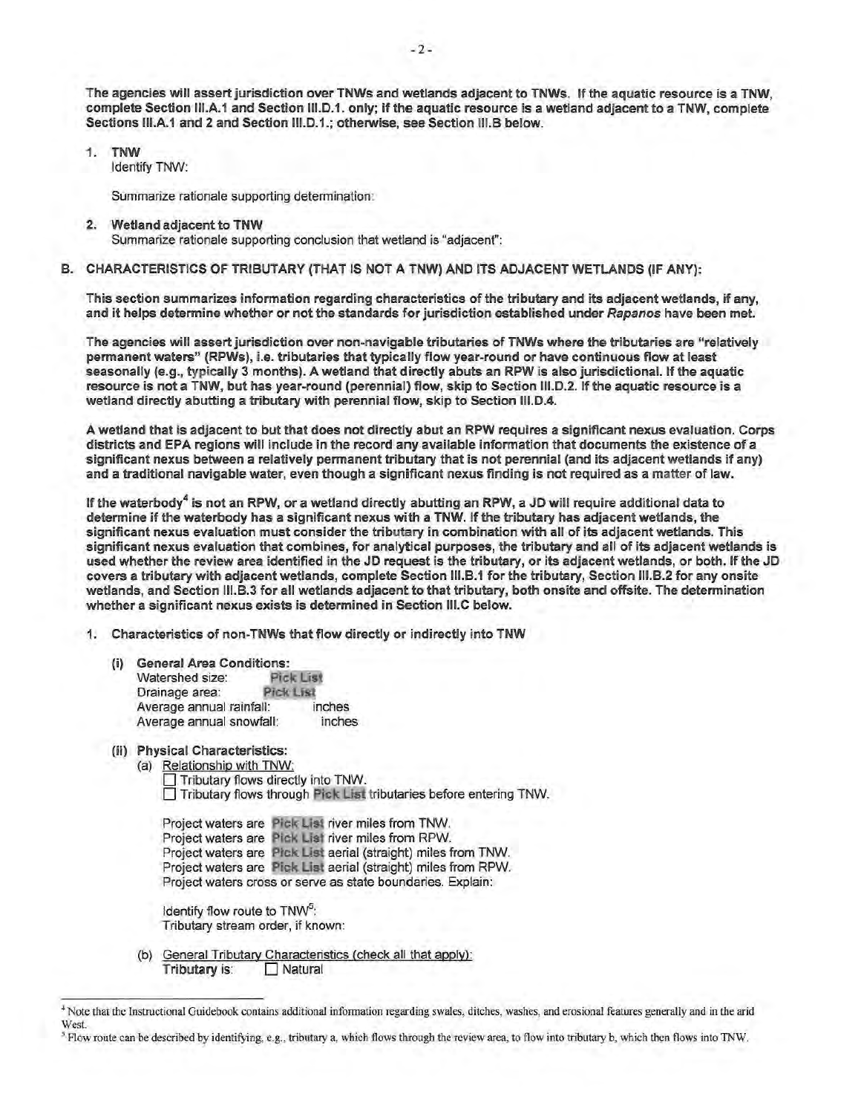The agencies will assert jurisdiction over TNWs and wetlands adjacent to TNWs. If the aquatic resource is a TNW, complete Section 111.A.1 and Section 111.D.1. only; if the aquatic resource is a wetland adjacent to a TNW, complete Sections III.A.1 and 2 and Section III.D.1.; otherwise, see Section III.B below.

- 1. TNW
	- Identify TNW:

Summarize rationale supporting determination:

- 2. Wetland adjacent to TNW Summarize rationale supporting conclusion that wetland is "adjacent":
- B. CHARACTERISTICS OF TRIBUTARY (THAT IS NOT A TNW) AND ITS ADJACENT WETLANDS (IF ANY):

This section summarizes information regarding characteristics of the tributary and its adjacent wetlands, if any, and it helps determine whether or not the standards for jurisdiction established under Rapanos have been met.

The agencies will assert jurisdiction over non-navigable tributaries of TNWs where the tributaries are "relatively permanent waters" (RPWs), i.e. tributaries that typically flow year-round or have continuous flow at least seasonally (e.g., typically 3 months). A wetland that directly abuts an RPW is also jurisdictional. If the aquatic resource is not a TNW, but has year-round (perennial) flow, skip to Section 111.D.2. If the aquatic resource is a wetland directly abutting a tributary with perennial flow, skip to Section 111.D.4.

A wetland that is adjacent to but that does not directly abut an RPW requires a significant nexus evaluation. Corps districts and EPA regions will include in the record any available information that documents the existence of a significant nexus between a relatively permanent tributary that is not perennial (and its adjacent wetlands if any) and a traditional navigable water, even though a significant nexus finding is not required as a matter of law.

If the waterbody<sup>4</sup> is not an RPW, or a wetland directly abutting an RPW, a JD will require additional data to determine if the waterbody has a significant nexus with a TNW. If the tributary has adjacent wetlands, the significant nexus evaluation must consider the tributary in combination with all of its adjacent wetlands. This significant nexus evaluation that combines, for analytical purposes, the tributary and all of its adjacent wetlands is used whether the review area identified in the JD request is the tributary, or its adjacent wetlands, or both. If the JD covers a tributary with adjacent wetlands, complete Section 111.B.1 for the tributary, Section 111.B.2 for any onsite wetlands, and Section 111.B.3 for all wetlands adjacent to that tributary, both onsite and offsite. The determination whether a significant nexus exists is determined in Section 111.C below.

- 1. Characteristics of non-TNWs that flow directly or indirectly into TNW
	- (i) General Area Conditions:<br>Watershed size: Pick List Watershed size: Pick Lis<br>Drainage area: Pick List Drainage area: Average annual rainfall: inches Average annual snowfall: inches
	- (ii) Physical Characteristics:
		- (a) Relationship with TNW: Tributary flows directly into TNW.  $\Box$  Tributary flows through Pick List tributaries before entering TNW.
			- Project waters are Pick List river miles from TNW. Project waters are Pick List river miles from RPW. Project waters are Pick List aerial (straight) miles from TNW. Project waters are Pick List aerial (straight) miles from RPW. Project waters cross or serve as state boundaries. Explain:
			- Identify flow route to TNW<sup>5</sup>: Tributary stream order, if known:
		- (b) General Tributary Characteristics (check all that apply): Tributary is:  $\Box$  Natural

<sup>•</sup> Note that the Instructional Guidebook contains additional infonnation regarding swales, ditches, washes, and erosional features generally and in the arid West.

*<sup>5</sup>* Flow route can be described by identifying, e.g., tributary a, which flows through the review area, to flow into tributary b, which then flows into TNW.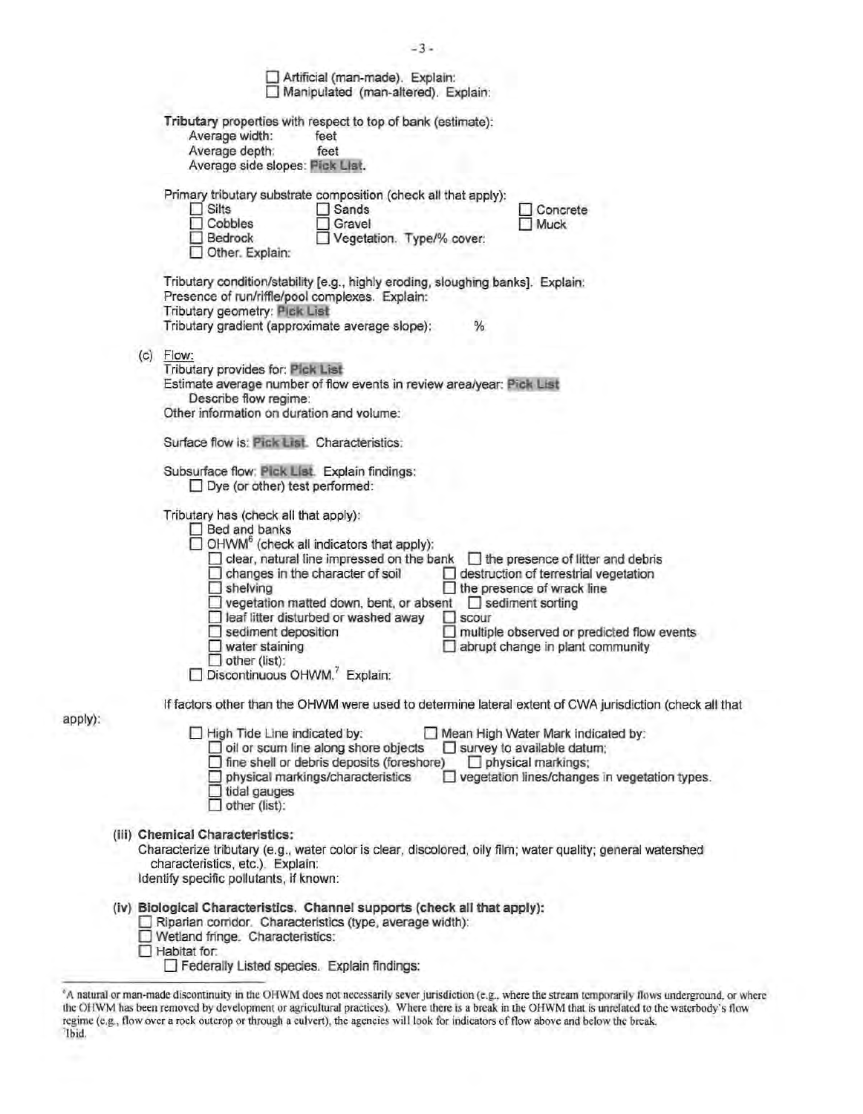|  | $-3-$                                                                                                                                                                                                                                                                                                                                                                                                                                                                                                                                                                                                                                                                           |
|--|---------------------------------------------------------------------------------------------------------------------------------------------------------------------------------------------------------------------------------------------------------------------------------------------------------------------------------------------------------------------------------------------------------------------------------------------------------------------------------------------------------------------------------------------------------------------------------------------------------------------------------------------------------------------------------|
|  | Artificial (man-made). Explain:<br>Manipulated (man-altered). Explain:                                                                                                                                                                                                                                                                                                                                                                                                                                                                                                                                                                                                          |
|  | Tributary properties with respect to top of bank (estimate):<br>Average width:<br>feet<br>Average depth:<br>feet<br>Average side slopes: Pick List.                                                                                                                                                                                                                                                                                                                                                                                                                                                                                                                             |
|  | Primary tributary substrate composition (check all that apply):<br>$\Box$ Silts<br>Sands<br>Concrete<br>Cobbles<br>Gravel<br>Muck<br>Bedrock<br>Vegetation. Type/% cover:<br>Other. Explain:                                                                                                                                                                                                                                                                                                                                                                                                                                                                                    |
|  | Tributary condition/stability [e.g., highly eroding, sloughing banks]. Explain:<br>Presence of run/riffle/pool complexes. Explain:<br>Tributary geometry: Pick List<br>Tributary gradient (approximate average slope):<br>%                                                                                                                                                                                                                                                                                                                                                                                                                                                     |
|  | $(c)$ Flow:<br>Tributary provides for: Pick List<br>Estimate average number of flow events in review area/year: Pick List<br>Describe flow regime:<br>Other information on duration and volume:                                                                                                                                                                                                                                                                                                                                                                                                                                                                                 |
|  | Surface flow is: Pick List. Characteristics:                                                                                                                                                                                                                                                                                                                                                                                                                                                                                                                                                                                                                                    |
|  | Subsurface flow: Pick List. Explain findings:<br>$\Box$ Dye (or other) test performed:                                                                                                                                                                                                                                                                                                                                                                                                                                                                                                                                                                                          |
|  | Tributary has (check all that apply):<br>Bed and banks<br>$\Box$ OHWM <sup>6</sup> (check all indicators that apply):<br>clear, natural line impressed on the bank<br>$\Box$ the presence of litter and debris<br>changes in the character of soil<br>destruction of terrestrial vegetation<br>$\Box$ shelving<br>the presence of wrack line<br>vegetation matted down, bent, or absent<br>$\Box$ sediment sorting<br>leaf litter disturbed or washed away<br>scour<br>o<br>sediment deposition<br>multiple observed or predicted flow events<br>$\Box$ water staining<br>abrupt change in plant community<br>$\Box$ other (list):<br>Discontinuous OHWM. <sup>7</sup> Explain: |
|  | If factors other than the OHWM were used to determine lateral extent of CWA jurisdiction (check all that                                                                                                                                                                                                                                                                                                                                                                                                                                                                                                                                                                        |
|  | Mean High Water Mark indicated by:<br>High Tide Line indicated by:<br>$\Box$ oil or scum line along shore objects<br>$\Box$ survey to available datum;<br>fine shell or debris deposits (foreshore)<br>$\Box$ physical markings;<br>physical markings/characteristics<br>vegetation lines/changes in vegetation types.<br>$\Box$ tidal gauges<br>other (list):                                                                                                                                                                                                                                                                                                                  |
|  | (iii) Chemical Characteristics:<br>Characterize tributary (e.g., water color is clear, discolored, oily film; water quality; general watershed<br>characteristics, etc.). Explain:<br>Identify specific pollutants, if known:                                                                                                                                                                                                                                                                                                                                                                                                                                                   |
|  | (iv) Biological Characteristics. Channel supports (check all that apply):<br>Riparian corridor. Characteristics (type, average width):<br>Wetland fringe. Characteristics:<br>$\Box$ Habitat for:<br>Federally Listed species. Explain findings:                                                                                                                                                                                                                                                                                                                                                                                                                                |
|  | or man-made discontinuity in the OHWM does not necessarily sever intriguistion (e.g., where the stream temporarily flows underground                                                                                                                                                                                                                                                                                                                                                                                                                                                                                                                                            |

apply):

<sup>&</sup>lt;sup>6</sup>A natural or man-made discontinuity in the OHWM does not necessarily sever jurisdiction (e.g., where the stream temporarily flows underground, or where erground, or where the OHWM has been removed by development or agricultural practices). Where there is a break in the OHWM that is unrelated to the waterbody's flow<br>regime (e.g., flow over a rock outcrop or through a culvert), the agencies w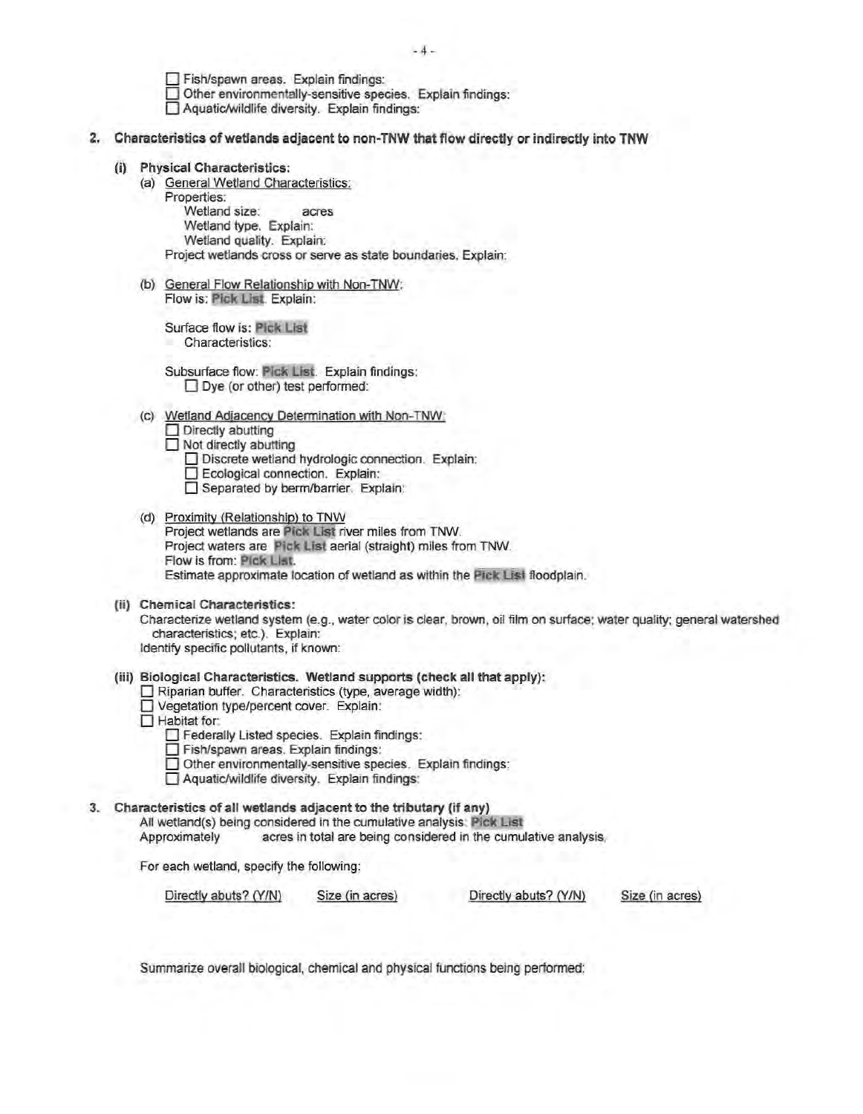$-4-$ 

0 Fish/spawn areas. Explain findings:  $\Box$  Other environmentally-sensitive species. Explain findings: 0 Aquatic/wildlife diversity. Explain findings:

- 2. Characteristics of wetlands adjacent to non-TNW that flow directly or indirectly into TNW
	- (i) Physical Characteristics:
		- (a) General Wetland Characteristics: Properties:

 Wetland size: acres Wetland type. Explain: Wetland quality. Explain: Project wetlands cross or serve as state boundaries. Explain:

(b) General Flow Relationship with Non-TNW: Flow is: Pick List. Explain:

Surface flow is: Pick List Characteristics:

Subsurface flow: Pick List. Explain findings:  $\Box$  Dye (or other) test performed:

(c) Wetland Adjacency Determination with Non-TNW:

 $\Box$  Directly abutting

 $\Box$  Not directly abutting

- □ Discrete wetland hydrologic connection. Explain:<br>□ Ecological connection. Explain:
- Separated by berm/barrier. Explain:
- (d) Proximity (Relationship) to TNW Project wetlands are Pick List river miles from TNW. Project waters are Pick List aerial (straight) miles from TNW. Flow is from: Pick List Estimate approximate location of wetland as within the Pick List floodplain.
- (ii) Chemical Characteristics:

Characterize wetland system (e.g., water color is clear, brown, oil film on surface; water quality; general watershed characteristics; etc.). Explain: Identify specific pollutants, if known:

- (iii) Biological Characteristics. Wetland supports (check all that apply):
	- $\square$  Riparian buffer. Characteristics (type, average width):
	- D Vegetation type/percent cover. Explain:
	- $\Box$  Habitat for:
		- D Federally Listed species. Explain findings: D Fish/spawn areas. Explain findings:
		-
		- Other environmentally-sensitive species. Explain findings:
		- D Aquatic/wildlife diversity. Explain findings:

# 3. Characteristics of all wetlands adjacent to the tributary (if any)

All wettand(s) being considered in the cumulative analysis: Pick List

acres in total are being considered in the cumulative analysis.

For each wetland, specify the following:

Directly abuts? (Y/N) Size (in acres) Directly abuts? (YIN) Size (in acres)

Summarize overall biological, chemical and physical functions being performed: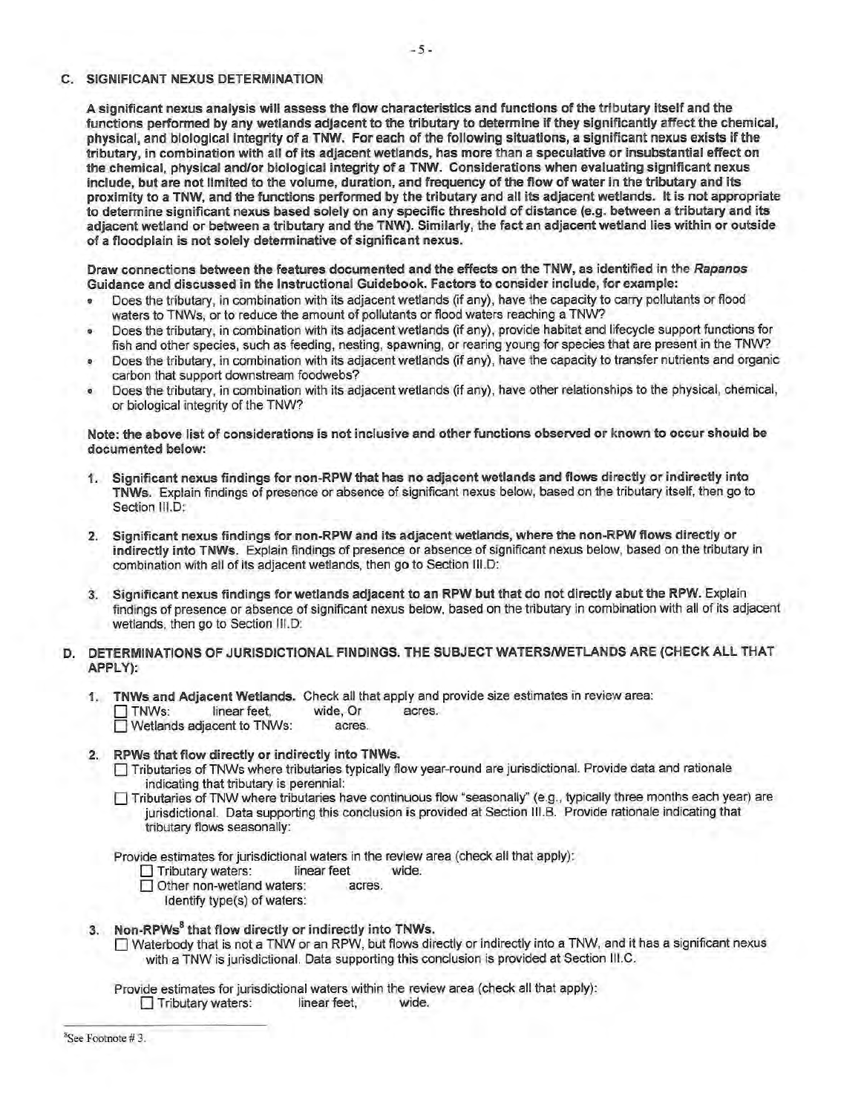#### C. SIGNIFICANT NEXUS DETERMINATION

A significant nexus analysis will assess the flow characteristics and functions of the tributary itself and the functions performed by any wetlands adjacent to the tributary to determine if they significantly affect the chemical, physical, and biological integrity of a TNW. For each of the following situations, a significant nexus exists if the tributary, in combination with all of its adjacent wetlands, has more than a speculative or insubstantial effect on the chemical, physical and/or biological integrity of a TNW. Considerations when evaluating significant nexus include, but are not limited to the volume, duration, and frequency of the flow of water in the tributary and its proximity to a TNW, and the functions perfonned by the tributary and all its adjacent wetlands. It is not appropriate to detennine significant nexus based solely on any specific threshold of distance (e.g. between a tributary and its adjacent wetland or between a tributary and the TNW}. Similarly, the fact an adjacent wetland lies within or outside of a floodplain is not solely determinative of significant nexus.

Draw connections between the features documented and the effects on the TNW, as identified in the Rapanos Guidance and discussed in the Instructional Guidebook. Factors to consider include, for example:

- Does the tributary, in combination with its adjacent wetlands (if any), have the capacity to carry pollutants or flood waters to TNWs, or to reduce the amount of pollutants or flood waters reaching a TNW?
- Does the tributary, in combination with its adjacent wetlands (if any), provide habitat and lifecycle support functions for fish and other species, such as feeding, nesting, spawning, or rearing young for species that are present in the TNW?
- Does the tributary, in combination with its adjacent wetlands (if any), have the capacity to transfer nutrients and organic carbon that support downstream foodwebs?
- Does the tributary, in combination with its adjacent wetlands (if any}, have other relationships to the physical, chemical, or biological integrity of the TNW?

Note: the above list of considerations is not inclusive and other functions observed or known to occur should be documented below:

- 1. Significant nexus findings for non-RPW that has no adjacent wetlands and flows directly or indirectly into TNWs. Explain findings of presence or absence of significant nexus below, based on the tributary itself, then go to Section III.D:
- 2. Significant nexus findings for non-RPW and its adjacent wetlands, where the non-RPW flows directly or indirectly into TNWs. Explain findings of presence or absence of significant nexus below, based on the tributary in combination with all of its adjacent wetlands, then go to Section 111.D:
- 3. Significant nexus findings for wetlands adjacent to an RPW but that do not directly abut the RPW. Explain findings of presence or absence of significant nexus below, based on the tributary in combination with all of its adjacent wetlands, then go to Section III.D:
- D. DETERMINATIONS OF JURISDICTIONAL FINDINGS. THE SUBJECT WATERS/WETLANDS ARE (CHECK ALL THAT APPLY):
	- 1. TNWs and Adjacent Wetlands. Check all that apply and provide size estimates in review area: TNWs: linear feet, wide, Or acres.<br>
	Undefiands adjacent to TNWs: acres.  $\Box$  Wetlands adjacent to TNWs:

### 2. RPWs that flow directly or indirectly into TNWs.

- O Tributaries of TNWs where tributaries typically flow year-round are jurisdictional. Provide data and rationale indicating that tributary is perennial:
- O Tributaries of TNW where tributaries have continuous flow "seasonally" (e.g., typically three months each year) are jurisdictional. Data supporting this conclusion is provided at Section 111.B. Provide rationale indicating that tributary flows seasonally:

Provide estimates for jurisdictional waters in the review area (check all that apply):

- **D** Tributary waters: linear feet wide.
- □ Other non-wetland waters: acres.
	- Identify type(s) of waters:
- 3. Non-RPWs<sup>8</sup> that flow directly or indirectly into TNWs.
	- O Waterbody that is not a TNW or an RPW, but flows directly or indirectly into a TNW, and it has a significant nexus with a TNW is jurisdictional. Data supporting this conclusion is provided at Section 111.C.

Provide estimates for jurisdictional waters within the review area (check all that apply}:

Tributary waters: linear feet, wide.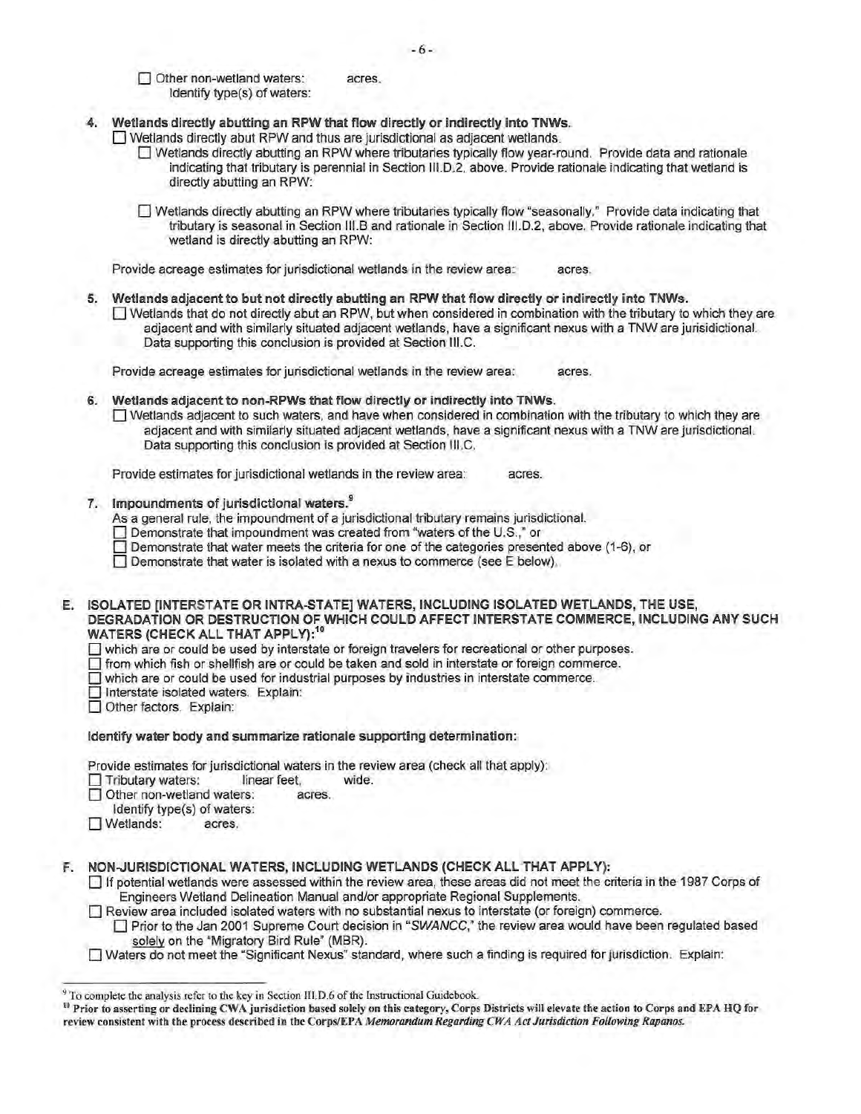Other non-wetland waters: acres. Identify type(s) of waters:

- 4. Wetlands directly abutting an RPW that flow directly or indirectly into TNWs.
	- $\Box$  Wetlands directly abut RPW and thus are jurisdictional as adjacent wetlands.
		- 0 Wetlands directly abutting an RPW where tributaries typically flow year-round. Provide data and rationale indicating that tributary is perennial in Section 111.D.2, above. Provide rationale indicating that wetland is directly abutting an RPW:

0 Wetlands directly abutting an RPW where tributaries typically flow "seasonally." Provide data indicating that tributary is seasonal in Section 111.B and rationale in Section 111.D.2, above. Provide rationale indicating that wetland is directly abutting an RPW:

Provide acreage estimates for jurisdictional wetlands in the review area: acres.

5. Wetlands adjacent to but not directly abutting an RPW that flow directly or indirectly into TNWs.

 $\Box$  Wetlands that do not directly abut an RPW, but when considered in combination with the tributary to which they are adjacent and with similarly situated adjacent wetlands, have a significant nexus with a TNW are jurisidictional. Data supporting this conclusion is provided at Section 111.C.

Provide acreage estimates for jurisdictional wetlands in the review area: acres.

6. Wetlands adjacent to non-RPWs that flow directly or indirectly into TNWs.  $\Box$  Wetlands adjacent to such waters, and have when considered in combination with the tributary to which they are adjacent and with similarly situated adjacent wetlands, have a significant nexus with a TNW are jurisdictional. Data supporting this conclusion is provided at Section 111.C.

Provide estimates for jurisdictional wetlands in the review area: acres.

7. Impoundments of jurisdictional waters.<sup>9</sup>

As a general rule, the impoundment of a jurisdictional tributary remains jurisdictional.

- 0 Demonstrate that impoundment was created from "waters of the U.S.," or
- $\Box$  Demonstrate that water meets the criteria for one of the categories presented above (1-6), or

 $\Box$  Demonstrate that water is isolated with a nexus to commerce (see E below).

E. ISOLATED [INTERSTATE OR INTRA-STATE] WATERS, INCLUDING ISOLATED WETLANDS, THE USE, DEGRADATION OR DESTRUCTION OF WHICH COULD AFFECT INTERSTATE COMMERCE, INCLUDING ANY SUCH WATERS (CHECK ALL THAT APPLY):<sup>1</sup>

 $\Box$  which are or could be used by interstate or foreign travelers for recreational or other purposes.

 $\Box$  from which fish or shellfish are or could be taken and sold in interstate or foreign commerce.

- $\Box$  which are or could be used for industrial purposes by industries in interstate commerce.
- Interstate isolated waters. Explain:
- Other factors. Explain:

Identify water body and summarize rationale supporting determination:

Provide estimates for jurisdictional waters in the review area (check all that apply):

**Tributary waters:** linear feet, wide.

□ Other non-wetland waters: acres.

- Identify type(s) of waters:
- O Wetlands: acres.

F. NON-JURISDICTIONAL WATERS, INCLUDING WETLANDS (CHECK ALL THAT APPLY):

O If potential wetlands were assessed within the review area, these areas did not meet the criteria in the 1987 Corps of Engineers Wetland Delineation Manual and/or appropriate Regional Supplements.

 $\Box$  Review area included isolated waters with no substantial nexus to interstate (or foreign) commerce.

Prior to the Jan 2001 Supreme Court decision in "SWANCC," the review area would have been regulated based solely on the "Migratory Bird Rule" (MBR).

0 Waters do not meet the "Significant Nexus" standard, where such a finding is required for jurisdiction. Explain:

<sup>&</sup>lt;sup>9</sup> To complete the analysis refer to the key in Section III.D.6 of the Instructional Guidebook.

<sup>&</sup>lt;sup>10</sup> Prior to asserting or declining CWA jurisdiction based solely on this category, Corps Districts will elevate the action to Corps and EPA HQ for review consistent with the process described in the Corps/EPA *Memorandum Regarding CWA Act Jurisdiction Following Rapanos.*